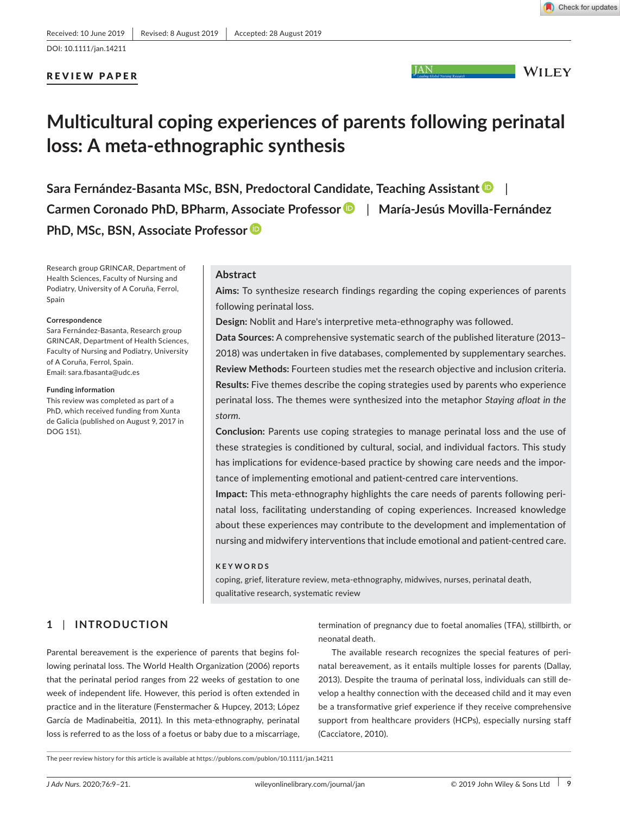DOI: 10.1111/jan.14211

#### REVIEW PAPER

JAN

**WILEY** 

# **Multicultural coping experiences of parents following perinatal loss: A meta‐ethnographic synthesis**

**Sara Fernández‐Basanta MSc, BSN, Predoctoral Candidate, Teaching Assistant** | **Carmen Coronado PhD, BPharm, Associate Professor** | **María‐Jesús Movilla‐Fernández PhD, MSc, BSN, Associate Professor**

Research group GRINCAR, Department of Health Sciences, Faculty of Nursing and Podiatry, University of A Coruña, Ferrol, Spain

#### **Correspondence**

Sara Fernández‐Basanta, Research group GRINCAR, Department of Health Sciences, Faculty of Nursing and Podiatry, University of A Coruña, Ferrol, Spain. Email: [sara.fbasanta@udc.es](mailto:sara.fbasanta@udc.es)

#### **Funding information**

This review was completed as part of a PhD, which received funding from Xunta de Galicia (published on August 9, 2017 in DOG 151).

#### **Abstract**

**Aims:** To synthesize research findings regarding the coping experiences of parents following perinatal loss.

**Design:** Noblit and Hare's interpretive meta‐ethnography was followed.

**Data Sources:** A comprehensive systematic search of the published literature (2013– 2018) was undertaken in five databases, complemented by supplementary searches. **Review Methods:** Fourteen studies met the research objective and inclusion criteria. **Results:** Five themes describe the coping strategies used by parents who experience perinatal loss. The themes were synthesized into the metaphor *Staying afloat in the storm*.

**Conclusion:** Parents use coping strategies to manage perinatal loss and the use of these strategies is conditioned by cultural, social, and individual factors. This study has implications for evidence-based practice by showing care needs and the importance of implementing emotional and patient‐centred care interventions.

**Impact:** This meta‐ethnography highlights the care needs of parents following peri‐ natal loss, facilitating understanding of coping experiences. Increased knowledge about these experiences may contribute to the development and implementation of nursing and midwifery interventions that include emotional and patient‐centred care.

#### **KEYWORDS**

coping, grief, literature review, meta‐ethnography, midwives, nurses, perinatal death, qualitative research, systematic review

## **1** | **INTRODUCTION**

Parental bereavement is the experience of parents that begins fol‐ lowing perinatal loss. The World Health Organization (2006) reports that the perinatal period ranges from 22 weeks of gestation to one week of independent life. However, this period is often extended in practice and in the literature (Fenstermacher & Hupcey, 2013; López García de Madinabeitia, 2011). In this meta‐ethnography, perinatal loss is referred to as the loss of a foetus or baby due to a miscarriage,

termination of pregnancy due to foetal anomalies (TFA), stillbirth, or neonatal death.

The available research recognizes the special features of peri‐ natal bereavement, as it entails multiple losses for parents (Dallay, 2013). Despite the trauma of perinatal loss, individuals can still de‐ velop a healthy connection with the deceased child and it may even be a transformative grief experience if they receive comprehensive support from healthcare providers (HCPs), especially nursing staff (Cacciatore, 2010).

The peer review history for this article is available at <https://publons.com/publon/10.1111/jan.14211>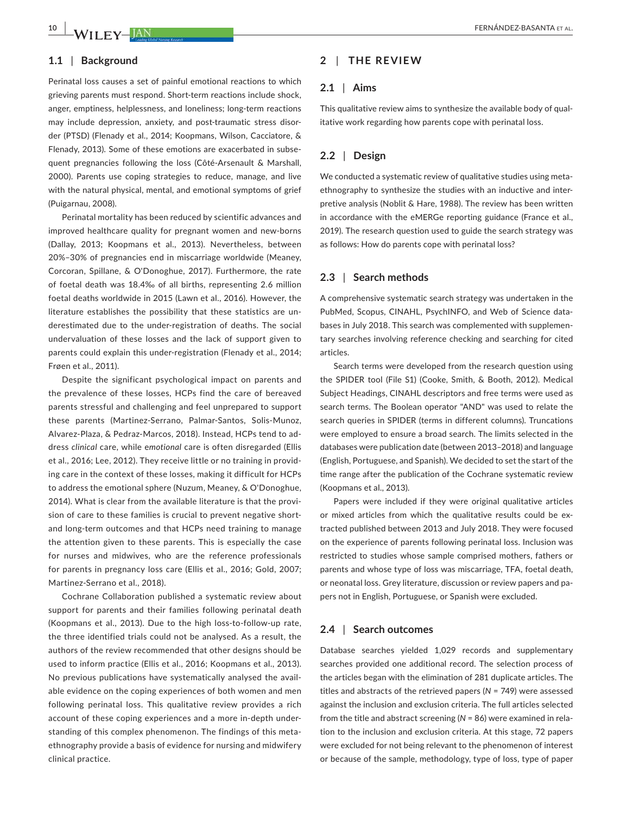#### **1.1** | **Background**

Perinatal loss causes a set of painful emotional reactions to which grieving parents must respond. Short‐term reactions include shock, anger, emptiness, helplessness, and loneliness; long‐term reactions may include depression, anxiety, and post-traumatic stress disorder (PTSD) (Flenady et al., 2014; Koopmans, Wilson, Cacciatore, & Flenady, 2013). Some of these emotions are exacerbated in subse‐ quent pregnancies following the loss (Côté‐Arsenault & Marshall, 2000). Parents use coping strategies to reduce, manage, and live with the natural physical, mental, and emotional symptoms of grief (Puigarnau, 2008).

Perinatal mortality has been reduced by scientific advances and improved healthcare quality for pregnant women and new‐borns (Dallay, 2013; Koopmans et al., 2013). Nevertheless, between 20%–30% of pregnancies end in miscarriage worldwide (Meaney, Corcoran, Spillane, & O'Donoghue, 2017). Furthermore, the rate of foetal death was 18.4‰ of all births, representing 2.6 million foetal deaths worldwide in 2015 (Lawn et al., 2016). However, the literature establishes the possibility that these statistics are un‐ derestimated due to the under‐registration of deaths. The social undervaluation of these losses and the lack of support given to parents could explain this under-registration (Flenady et al., 2014; Frøen et al., 2011).

Despite the significant psychological impact on parents and the prevalence of these losses, HCPs find the care of bereaved parents stressful and challenging and feel unprepared to support these parents (Martinez‐Serrano, Palmar‐Santos, Solis‐Munoz, Alvarez-Plaza, & Pedraz-Marcos, 2018). Instead, HCPs tend to address *clinical* care, while e*motional* care is often disregarded (Ellis et al., 2016; Lee, 2012). They receive little or no training in provid‐ ing care in the context of these losses, making it difficult for HCPs to address the emotional sphere (Nuzum, Meaney, & O'Donoghue, 2014). What is clear from the available literature is that the provision of care to these families is crucial to prevent negative shortand long‐term outcomes and that HCPs need training to manage the attention given to these parents. This is especially the case for nurses and midwives, who are the reference professionals for parents in pregnancy loss care (Ellis et al., 2016; Gold, 2007; Martinez-Serrano et al., 2018).

Cochrane Collaboration published a systematic review about support for parents and their families following perinatal death (Koopmans et al., 2013). Due to the high loss‐to‐follow‐up rate, the three identified trials could not be analysed. As a result, the authors of the review recommended that other designs should be used to inform practice (Ellis et al., 2016; Koopmans et al., 2013). No previous publications have systematically analysed the avail‐ able evidence on the coping experiences of both women and men following perinatal loss. This qualitative review provides a rich account of these coping experiences and a more in‐depth under‐ standing of this complex phenomenon. The findings of this meta‐ ethnography provide a basis of evidence for nursing and midwifery clinical practice.

## **2** | **THE REVIEW**

#### **2.1** | **Aims**

This qualitative review aims to synthesize the available body of qual‐ itative work regarding how parents cope with perinatal loss.

## **2.2** | **Design**

We conducted a systematic review of qualitative studies using metaethnography to synthesize the studies with an inductive and inter‐ pretive analysis (Noblit & Hare, 1988). The review has been written in accordance with the eMERGe reporting guidance (France et al., 2019). The research question used to guide the search strategy was as follows: How do parents cope with perinatal loss?

## **2.3** | **Search methods**

A comprehensive systematic search strategy was undertaken in the PubMed, Scopus, CINAHL, PsychINFO, and Web of Science data‐ bases in July 2018. This search was complemented with supplementary searches involving reference checking and searching for cited articles.

Search terms were developed from the research question using the SPIDER tool (File S1) (Cooke, Smith, & Booth, 2012). Medical Subject Headings, CINAHL descriptors and free terms were used as search terms. The Boolean operator "AND" was used to relate the search queries in SPIDER (terms in different columns). Truncations were employed to ensure a broad search. The limits selected in the databases were publication date (between 2013-2018) and language (English, Portuguese, and Spanish). We decided to set the start of the time range after the publication of the Cochrane systematic review (Koopmans et al., 2013).

Papers were included if they were original qualitative articles or mixed articles from which the qualitative results could be ex‐ tracted published between 2013 and July 2018. They were focused on the experience of parents following perinatal loss. Inclusion was restricted to studies whose sample comprised mothers, fathers or parents and whose type of loss was miscarriage, TFA, foetal death, or neonatal loss. Grey literature, discussion or review papers and pa‐ pers not in English, Portuguese, or Spanish were excluded.

#### **2.4** | **Search outcomes**

Database searches yielded 1,029 records and supplementary searches provided one additional record. The selection process of the articles began with the elimination of 281 duplicate articles. The titles and abstracts of the retrieved papers (*N* = 749) were assessed against the inclusion and exclusion criteria. The full articles selected from the title and abstract screening (N = 86) were examined in relation to the inclusion and exclusion criteria. At this stage, 72 papers were excluded for not being relevant to the phenomenon of interest or because of the sample, methodology, type of loss, type of paper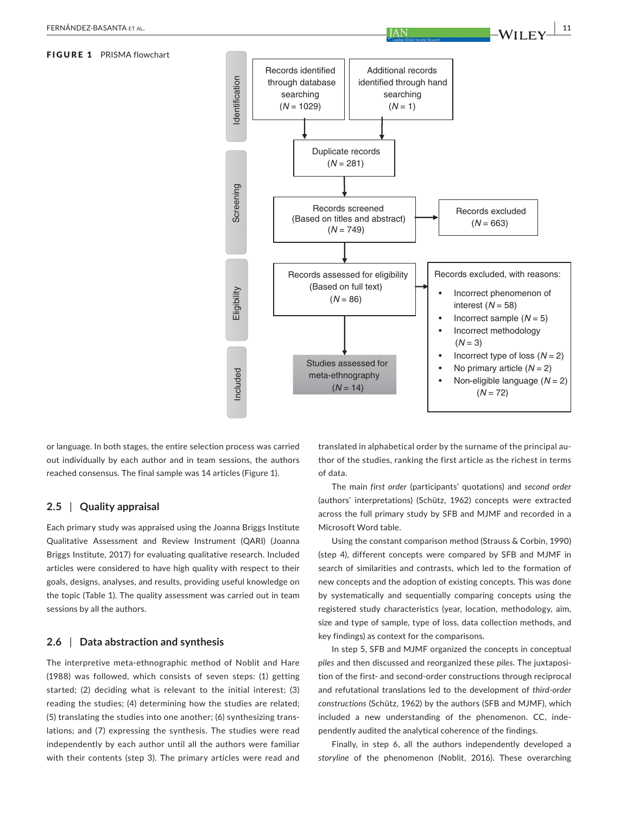#### FIGURE 1 PRISMA flowchart



or language. In both stages, the entire selection process was carried out individually by each author and in team sessions, the authors reached consensus. The final sample was 14 articles (Figure 1).

## **2.5** | **Quality appraisal**

Each primary study was appraised using the Joanna Briggs Institute Qualitative Assessment and Review Instrument (QARI) (Joanna Briggs Institute, 2017) for evaluating qualitative research. Included articles were considered to have high quality with respect to their goals, designs, analyses, and results, providing useful knowledge on the topic (Table 1). The quality assessment was carried out in team sessions by all the authors.

# **2.6** | **Data abstraction and synthesis**

The interpretive meta‐ethnographic method of Noblit and Hare (1988) was followed, which consists of seven steps: (1) getting started; (2) deciding what is relevant to the initial interest; (3) reading the studies; (4) determining how the studies are related; (5) translating the studies into one another; (6) synthesizing trans‐ lations; and (7) expressing the synthesis. The studies were read independently by each author until all the authors were familiar with their contents (step 3). The primary articles were read and

translated in alphabetical order by the surname of the principal au‐ thor of the studies, ranking the first article as the richest in terms of data.

The main *first order* (participants' quotations) and *second order* (authors' interpretations) (Schütz, 1962) concepts were extracted across the full primary study by SFB and MJMF and recorded in a Microsoft Word table.

Using the constant comparison method (Strauss & Corbin, 1990) (step 4), different concepts were compared by SFB and MJMF in search of similarities and contrasts, which led to the formation of new concepts and the adoption of existing concepts. This was done by systematically and sequentially comparing concepts using the registered study characteristics (year, location, methodology, aim, size and type of sample, type of loss, data collection methods, and key findings) as context for the comparisons.

In step 5, SFB and MJMF organized the concepts in conceptual *piles* and then discussed and reorganized these *piles*. The juxtaposi‐ tion of the first‐ and second‐order constructions through reciprocal and refutational translations led to the development of *third‐order constructions* (Schütz, 1962) by the authors (SFB and MJMF), which included a new understanding of the phenomenon. CC, inde‐ pendently audited the analytical coherence of the findings.

Finally, in step 6, all the authors independently developed a *storyline* of the phenomenon (Noblit, 2016). These overarching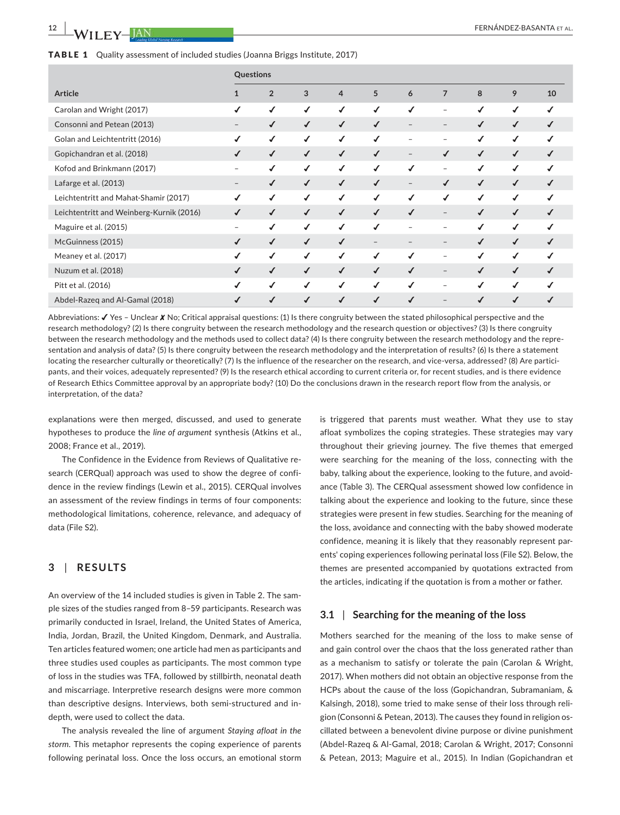| TABLE 1 Quality assessment of included studies (Joanna Briggs Institute, 2017) |  |
|--------------------------------------------------------------------------------|--|
|--------------------------------------------------------------------------------|--|

|                                          | Questions         |                |              |                |                   |                          |                          |              |              |    |
|------------------------------------------|-------------------|----------------|--------------|----------------|-------------------|--------------------------|--------------------------|--------------|--------------|----|
| <b>Article</b>                           | $\mathbf{1}$      | $\overline{2}$ | 3            | $\overline{4}$ | 5                 | 6                        | $\overline{7}$           | 8            | 9            | 10 |
| Carolan and Wright (2017)                |                   | ✔              | ✔            | ✔              | ✔                 | ✔                        | $\overline{\phantom{0}}$ | ✔            | $\checkmark$ | ℐ  |
| Consonni and Petean (2013)               | $\qquad \qquad -$ | $\checkmark$   | $\checkmark$ | $\checkmark$   | $\checkmark$      | $\qquad \qquad -$        | $\qquad \qquad -$        | $\checkmark$ | $\checkmark$ | ✔  |
| Golan and Leichtentritt (2016)           | ℐ                 | $\checkmark$   | $\checkmark$ | $\checkmark$   | $\checkmark$      | $\overline{a}$           | $\qquad \qquad -$        | $\checkmark$ | $\checkmark$ | ✔  |
| Gopichandran et al. (2018)               | ✔                 | ✔              | $\checkmark$ | $\checkmark$   | $\checkmark$      | $\overline{\phantom{a}}$ | $\checkmark$             | $\checkmark$ | $\checkmark$ | ✔  |
| Kofod and Brinkmann (2017)               |                   | ℐ              | $\checkmark$ | ✔              | $\checkmark$      | ✔                        | $\overline{\phantom{m}}$ | $\checkmark$ | ✔            |    |
| Lafarge et al. (2013)                    | $\qquad \qquad -$ | $\checkmark$   | $\checkmark$ | $\checkmark$   | $\checkmark$      | $\overline{\phantom{a}}$ | $\checkmark$             | $\checkmark$ | $\checkmark$ | ✔  |
| Leichtentritt and Mahat-Shamir (2017)    | ✔                 | ✔              | $\checkmark$ | $\checkmark$   | $\checkmark$      | $\checkmark$             | $\checkmark$             | $\checkmark$ | $\checkmark$ | ✔  |
| Leichtentritt and Weinberg-Kurnik (2016) |                   | ✔              | $\checkmark$ | ✔              | $\sqrt{ }$        | ✔                        | $\qquad \qquad -$        | $\checkmark$ | ✔            |    |
| Maguire et al. (2015)                    | $\qquad \qquad -$ | ✔              | $\checkmark$ | $\checkmark$   | $\checkmark$      | $\overline{\phantom{0}}$ | $\overline{\phantom{0}}$ | $\checkmark$ | ✔            | ✔  |
| McGuinness (2015)                        | $\checkmark$      | $\checkmark$   | $\checkmark$ | ✔              | $\qquad \qquad -$ | $\qquad \qquad -$        | $\overline{\phantom{m}}$ | ✔            | ✔            |    |
| Meaney et al. (2017)                     |                   | ✔              | $\checkmark$ | ✔              | ✔                 | ✔                        | $\overline{\phantom{0}}$ | $\checkmark$ | ✔            |    |
| Nuzum et al. (2018)                      |                   | ℐ              | $\checkmark$ | ✔              | $\sqrt{ }$        | $\checkmark$             | $\overline{\phantom{m}}$ | $\checkmark$ | ✔            |    |
| Pitt et al. (2016)                       | ✔                 | ✔              | $\checkmark$ | ✔              | $\checkmark$      | $\checkmark$             | -                        | $\checkmark$ | ✔            |    |
| Abdel-Razeg and Al-Gamal (2018)          |                   | ℐ              | $\checkmark$ | ✔              | $\checkmark$      | ✔                        | $\overline{\phantom{0}}$ | ✔            | $\checkmark$ |    |

Abbreviations: ✔ Yes - Unclear *X* No; Critical appraisal questions: (1) Is there congruity between the stated philosophical perspective and the research methodology? (2) Is there congruity between the research methodology and the research question or objectives? (3) Is there congruity between the research methodology and the methods used to collect data? (4) Is there congruity between the research methodology and the representation and analysis of data? (5) Is there congruity between the research methodology and the interpretation of results? (6) Is there a statement locating the researcher culturally or theoretically? (7) Is the influence of the researcher on the research, and vice-versa, addressed? (8) Are participants, and their voices, adequately represented? (9) Is the research ethical according to current criteria or, for recent studies, and is there evidence of Research Ethics Committee approval by an appropriate body? (10) Do the conclusions drawn in the research report flow from the analysis, or interpretation, of the data?

explanations were then merged, discussed, and used to generate hypotheses to produce the *line of argument* synthesis (Atkins et al., 2008; France et al., 2019).

The Confidence in the Evidence from Reviews of Qualitative re‐ search (CERQual) approach was used to show the degree of confidence in the review findings (Lewin et al., 2015). CERQual involves an assessment of the review findings in terms of four components: methodological limitations, coherence, relevance, and adequacy of data (File S2).

## **3** | **RESULTS**

An overview of the 14 included studies is given in Table 2. The sam‐ ple sizes of the studies ranged from 8-59 participants. Research was primarily conducted in Israel, Ireland, the United States of America, India, Jordan, Brazil, the United Kingdom, Denmark, and Australia. Ten articles featured women; one article had men as participants and three studies used couples as participants. The most common type of loss in the studies was TFA, followed by stillbirth, neonatal death and miscarriage. Interpretive research designs were more common than descriptive designs. Interviews, both semi‐structured and in‐ depth, were used to collect the data.

The analysis revealed the line of argument *Staying afloat in the storm*. This metaphor represents the coping experience of parents following perinatal loss. Once the loss occurs, an emotional storm

is triggered that parents must weather. What they use to stay afloat symbolizes the coping strategies. These strategies may vary throughout their grieving journey. The five themes that emerged were searching for the meaning of the loss, connecting with the baby, talking about the experience, looking to the future, and avoid‐ ance (Table 3). The CERQual assessment showed low confidence in talking about the experience and looking to the future, since these strategies were present in few studies. Searching for the meaning of the loss, avoidance and connecting with the baby showed moderate confidence, meaning it is likely that they reasonably represent par‐ ents' coping experiences following perinatal loss (File S2). Below, the themes are presented accompanied by quotations extracted from the articles, indicating if the quotation is from a mother or father.

#### **3.1** | **Searching for the meaning of the loss**

Mothers searched for the meaning of the loss to make sense of and gain control over the chaos that the loss generated rather than as a mechanism to satisfy or tolerate the pain (Carolan & Wright, 2017). When mothers did not obtain an objective response from the HCPs about the cause of the loss (Gopichandran, Subramaniam, & Kalsingh, 2018), some tried to make sense of their loss through religion (Consonni & Petean, 2013). The causes they found in religion os‐ cillated between a benevolent divine purpose or divine punishment (Abdel-Razeq & Al-Gamal, 2018; Carolan & Wright, 2017; Consonni & Petean, 2013; Maguire et al., 2015). In Indian (Gopichandran et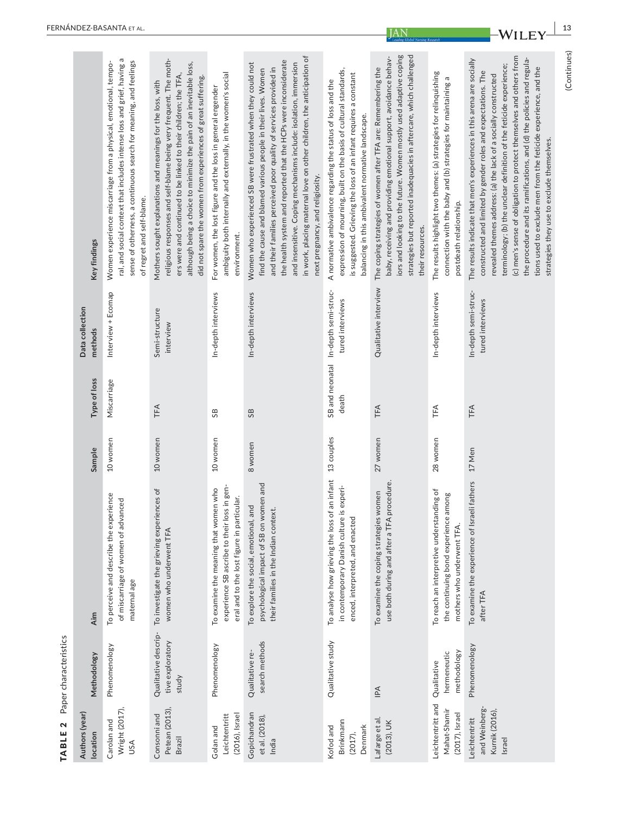|                                   | Key findings               | ral, and social context that includes intense loss and grief, having a<br>sense of otherness, a continuous search for meaning, and feelings<br>Women experience miscarriage from a physical, emotional, tempo-<br>of regret and self-blame. | religious responses and self-blame being very frequent. The moth-<br>although being a choice to minimize the pain of an inevitable loss,<br>ers were and continued to be linked to their children; the TFA,<br>did not spare the women from experiences of great suffering.<br>Mothers sought explanations and meanings for the loss, with | ambiguity both internally and externally, in the women's social<br>For women, the lost figure and the loss in general engender<br>environment. | in work, placing maternal love on other children, the anticipation of<br>the health system and reported that the HCPs were inconsiderate<br>and insensitive. Coping mechanisms include: isolation, immersion<br>Women who experienced SB were frustrated when they could not<br>and their families perceived poor quality of services provided in<br>find the cause and blamed various people in their lives. Women<br>next pregnancy, and religiosity. | expression of mourning, built on the basis of cultural standards,<br>is suggested. Grieving the loss of an infant requires a constant<br>A normative ambivalence regarding the status of loss and the<br>balancing in this ambivalent normative landscape. | iors and looking to the future. Women mostly used adaptive coping<br>strategies but reported inadequacies in aftercare, which challenged<br>baby, receiving and providing emotional support, avoidance behav-<br>The coping strategies of women after TFA are: Remembering the<br>their resources. | The results highlight two themes: (a) strategies for relinquishing<br>connection with the baby and (b) strategies for maintaining a<br>postdeath relationship. | (c) men's sense of obligation to protect themselves and others from<br>the procedure and its ramifications, and (d) the policies and regula-<br>The results indicate that men's experiences in this arena are socially<br>terminology; (b) the unclear definition of the feticide experience;<br>tions used to exclude men from the feticide experience, and the<br>constructed and limited by gender roles and expectations. The<br>revealed themes address: (a) the lack of a socially constructed |
|-----------------------------------|----------------------------|---------------------------------------------------------------------------------------------------------------------------------------------------------------------------------------------------------------------------------------------|--------------------------------------------------------------------------------------------------------------------------------------------------------------------------------------------------------------------------------------------------------------------------------------------------------------------------------------------|------------------------------------------------------------------------------------------------------------------------------------------------|---------------------------------------------------------------------------------------------------------------------------------------------------------------------------------------------------------------------------------------------------------------------------------------------------------------------------------------------------------------------------------------------------------------------------------------------------------|------------------------------------------------------------------------------------------------------------------------------------------------------------------------------------------------------------------------------------------------------------|----------------------------------------------------------------------------------------------------------------------------------------------------------------------------------------------------------------------------------------------------------------------------------------------------|----------------------------------------------------------------------------------------------------------------------------------------------------------------|------------------------------------------------------------------------------------------------------------------------------------------------------------------------------------------------------------------------------------------------------------------------------------------------------------------------------------------------------------------------------------------------------------------------------------------------------------------------------------------------------|
|                                   | Data collection<br>methods | Interview + Ecomap                                                                                                                                                                                                                          | Semi-structure<br>interview                                                                                                                                                                                                                                                                                                                | In-depth interviews                                                                                                                            | In-depth interviews                                                                                                                                                                                                                                                                                                                                                                                                                                     | SB and neonatal In-depth semi-struc-<br>tured interviews                                                                                                                                                                                                   | Qualitative interview                                                                                                                                                                                                                                                                              | In-depth interviews                                                                                                                                            | In-depth semi-struc-<br>tured interviews                                                                                                                                                                                                                                                                                                                                                                                                                                                             |
|                                   | Type of loss               | Miscarriage                                                                                                                                                                                                                                 | TFA                                                                                                                                                                                                                                                                                                                                        | SВ                                                                                                                                             | SB                                                                                                                                                                                                                                                                                                                                                                                                                                                      | death                                                                                                                                                                                                                                                      | TFA                                                                                                                                                                                                                                                                                                | TFA                                                                                                                                                            | TFA                                                                                                                                                                                                                                                                                                                                                                                                                                                                                                  |
|                                   | Sample                     | 10 women                                                                                                                                                                                                                                    | 10 women                                                                                                                                                                                                                                                                                                                                   | 10 women                                                                                                                                       | 8 women                                                                                                                                                                                                                                                                                                                                                                                                                                                 | 13 couples                                                                                                                                                                                                                                                 | 27 women                                                                                                                                                                                                                                                                                           | 28 women                                                                                                                                                       | 17 Men                                                                                                                                                                                                                                                                                                                                                                                                                                                                                               |
|                                   | Aim                        | To perceive and describe the experience<br>of miscarriage of women of advanced<br>maternal age                                                                                                                                              | To investigate the grieving experiences of<br>women who underwent TFA                                                                                                                                                                                                                                                                      | experience SB ascribe to their loss in gen-<br>To examine the meaning that women who<br>eral and to the lost figure in particular.             | psychological impact of SB on women and<br>To explore the social, emotional, and<br>their families in the Indian context.                                                                                                                                                                                                                                                                                                                               | To analyse how grieving the loss of an infant<br>in contemporary Danish culture is experi-<br>enced, interpreted, and enacted                                                                                                                              | procedure.<br>To examine the coping strategies women<br>use both during and after a TFA                                                                                                                                                                                                            | To reach an interpretive understanding of<br>among<br>the continuing bond experience<br>mothers who underwent TFA.                                             | To examine the experience of Israeli fathers<br>after TFA                                                                                                                                                                                                                                                                                                                                                                                                                                            |
| Paper characteristics             | Methodology                | Phenomenology                                                                                                                                                                                                                               | Qualitative descrip-<br>tive exploratory<br>study                                                                                                                                                                                                                                                                                          | Phenomenology                                                                                                                                  | search methods<br>Qualitative re-                                                                                                                                                                                                                                                                                                                                                                                                                       | Qualitative study                                                                                                                                                                                                                                          | $\overline{5}$                                                                                                                                                                                                                                                                                     | methodology<br>hermeneutic<br>Qualitative                                                                                                                      | Phenomenology                                                                                                                                                                                                                                                                                                                                                                                                                                                                                        |
| $\mathbf{\Omega}$<br><b>TABLE</b> | Authors (year)<br>location | Wright (2017),<br>Carolan and<br>USA                                                                                                                                                                                                        | Petean (2013)<br>Consonni and<br>Brazil                                                                                                                                                                                                                                                                                                    | Leichtentritt<br>(2016), Israel<br>Golan and                                                                                                   | Gopichandran<br>et al. (2018),<br>India                                                                                                                                                                                                                                                                                                                                                                                                                 | Brinkmann<br>Denmark<br>Kofod and<br>(2017),                                                                                                                                                                                                               | Lafarge et al.<br>(2013), UK                                                                                                                                                                                                                                                                       | Leichtentritt and<br>Mahat-Shamir<br>$(2017)$ , Israel                                                                                                         | and Weinberg-<br>Kurnik (2016),<br>Leichtentritt<br>Israel                                                                                                                                                                                                                                                                                                                                                                                                                                           |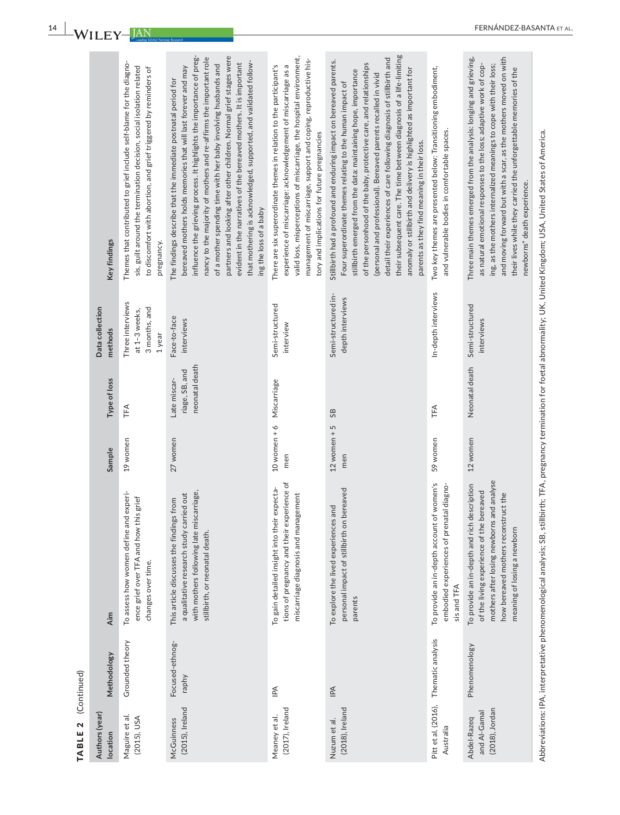| I<br>$\sim$ |
|-------------|
|             |
| ı.          |
| í.          |

| 14                 | WILEY-                     |                                                                                                                                                                                                                               |                                                                                                                                                                                                                                                                                                                                                                                                                                                                                                                                                                                             |                                                                                                                                                                                                                                                                                                                                   |                                                                                                                                                                                                                                                                                                                                                                                                                                                                                                                                                                                                                  |                                                                                                               | FERNÁNDEZ-BASA                                                                                                                                                                                                                                                                                                                                                                       |
|--------------------|----------------------------|-------------------------------------------------------------------------------------------------------------------------------------------------------------------------------------------------------------------------------|---------------------------------------------------------------------------------------------------------------------------------------------------------------------------------------------------------------------------------------------------------------------------------------------------------------------------------------------------------------------------------------------------------------------------------------------------------------------------------------------------------------------------------------------------------------------------------------------|-----------------------------------------------------------------------------------------------------------------------------------------------------------------------------------------------------------------------------------------------------------------------------------------------------------------------------------|------------------------------------------------------------------------------------------------------------------------------------------------------------------------------------------------------------------------------------------------------------------------------------------------------------------------------------------------------------------------------------------------------------------------------------------------------------------------------------------------------------------------------------------------------------------------------------------------------------------|---------------------------------------------------------------------------------------------------------------|--------------------------------------------------------------------------------------------------------------------------------------------------------------------------------------------------------------------------------------------------------------------------------------------------------------------------------------------------------------------------------------|
|                    | Key findings               | Themes that contributed to grief include self-blame for the diagno-<br>sis, guilt around the termination decision, social isolation related<br>to discomfort with abortion, and grief triggered by reminders of<br>pregnancy. | partners and looking after other children. Normal grief stages were<br>influence the grieving process. It highlights the importance of preg-<br>nancy to the majority of mothers and re-affirms the important role<br>that mothering is acknowledged, supported, and validated follow-<br>evident in the narratives of the bereaved mothers. It is important<br>of a mother spending time with her baby involving husbands and<br>bereaved mothers holds memories that will last forever and may<br>The findings describe that the immediate postnatal period for<br>ing the loss of a baby | valid loss, misperceptions of miscarriage, the hospital environment,<br>management of miscarriage, support and coping, reproductive his-<br>There are six superordinate themes in relation to the participant's<br>experience of miscarriage: acknowledgement of miscarriage as a<br>tory and implications for future pregnancies | their subsequent care. The time between diagnosis of a life-limiting<br>detail their experiences of care following diagnosis of stillbirth and<br>Stillbirth had a profound and enduring impact on bereaved parents.<br>of the personhood of the baby, protective care, and relationships<br>anomaly or stillbirth and delivery is highlighted as important for<br>stillbirth emerged from the data: maintaining hope, importance<br>(personal and professional). Bereaved parents recalled in vivid<br>Four superordinate themes relating to the human impact of<br>parents as they find meaning in their loss. | Two key themes are presented below: Transitioning embodiment,<br>and vulnerable bodies in comfortable spaces. | and moving forward but with a scar, as the mothers moved on with<br>Three main themes emerged from the analysis: longing and grieving,<br>as natural emotional responses to the loss; adaptive work of cop-<br>ing, as the mothers internalized meanings to cope with their loss;<br>their lives while they carried the unforgettable memories of the<br>newborns" death experience. |
|                    | Data collection<br>methods | Three interviews<br>3 months, and<br>at 1-3 weeks,<br>1 year                                                                                                                                                                  | Face-to-face<br>interviews                                                                                                                                                                                                                                                                                                                                                                                                                                                                                                                                                                  | Semi-structured<br>interview                                                                                                                                                                                                                                                                                                      | Semi-structured in-<br>depth interviews                                                                                                                                                                                                                                                                                                                                                                                                                                                                                                                                                                          | In-depth interviews                                                                                           | Semi-structured<br>interviews                                                                                                                                                                                                                                                                                                                                                        |
|                    | Type of loss               | TFA                                                                                                                                                                                                                           | neonatal death<br>riage, SB, and<br>Late miscar-                                                                                                                                                                                                                                                                                                                                                                                                                                                                                                                                            | Miscarriage                                                                                                                                                                                                                                                                                                                       | SB                                                                                                                                                                                                                                                                                                                                                                                                                                                                                                                                                                                                               | TFA                                                                                                           | Neonatal death                                                                                                                                                                                                                                                                                                                                                                       |
|                    | Sample                     | 19 women                                                                                                                                                                                                                      | 27 women                                                                                                                                                                                                                                                                                                                                                                                                                                                                                                                                                                                    | $10$ women $+6$<br>men                                                                                                                                                                                                                                                                                                            | $12$ women $+5$<br>men                                                                                                                                                                                                                                                                                                                                                                                                                                                                                                                                                                                           | 59 women                                                                                                      | 12 women                                                                                                                                                                                                                                                                                                                                                                             |
|                    | Aim                        | To assess how women define and experi-<br>ence grief over TFA and how this grief<br>changes over time.                                                                                                                        | with mothers following late miscarriage,<br>a qualitative research study carried out<br>This article discusses the findings from<br>stillbirth, or neonatal death.                                                                                                                                                                                                                                                                                                                                                                                                                          | tions of pregnancy and their experience of<br>To gain detailed insight into their expecta-<br>miscarriage diagnosis and management                                                                                                                                                                                                | personal impact of stillbirth on bereaved<br>To explore the lived experiences and<br>parents                                                                                                                                                                                                                                                                                                                                                                                                                                                                                                                     | To provide an in-depth account of women's<br>embodied experiences of prenatal diagno-<br>sis and TFA          | mothers after losing newborns and analyse<br>To provide an in-depth and rich description<br>of the living experience of the bereaved<br>how bereaved mothers reconstruct the<br>meaning of losing a newborn                                                                                                                                                                          |
| (Continued)        | Methodology                | Grounded theory                                                                                                                                                                                                               | Focused-ethnog-<br>raphy                                                                                                                                                                                                                                                                                                                                                                                                                                                                                                                                                                    | $\mathbb{A}$                                                                                                                                                                                                                                                                                                                      | $\mathbb{R}^4$                                                                                                                                                                                                                                                                                                                                                                                                                                                                                                                                                                                                   | Thematic analysis                                                                                             | Phenomenology                                                                                                                                                                                                                                                                                                                                                                        |
| TABLE <sub>2</sub> | Authors (year)<br>location | Maguire et al.<br>(2015), USA                                                                                                                                                                                                 | (2015), Ireland<br>McGuinness                                                                                                                                                                                                                                                                                                                                                                                                                                                                                                                                                               | (2017), Ireland<br>Meaney et al.                                                                                                                                                                                                                                                                                                  | (2018), Ireland<br>Nuzum et al.                                                                                                                                                                                                                                                                                                                                                                                                                                                                                                                                                                                  | Pitt et al. (2016),<br>Australia                                                                              | (2018), Jordan<br>and AI-Gamal<br>Abdel-Razeq                                                                                                                                                                                                                                                                                                                                        |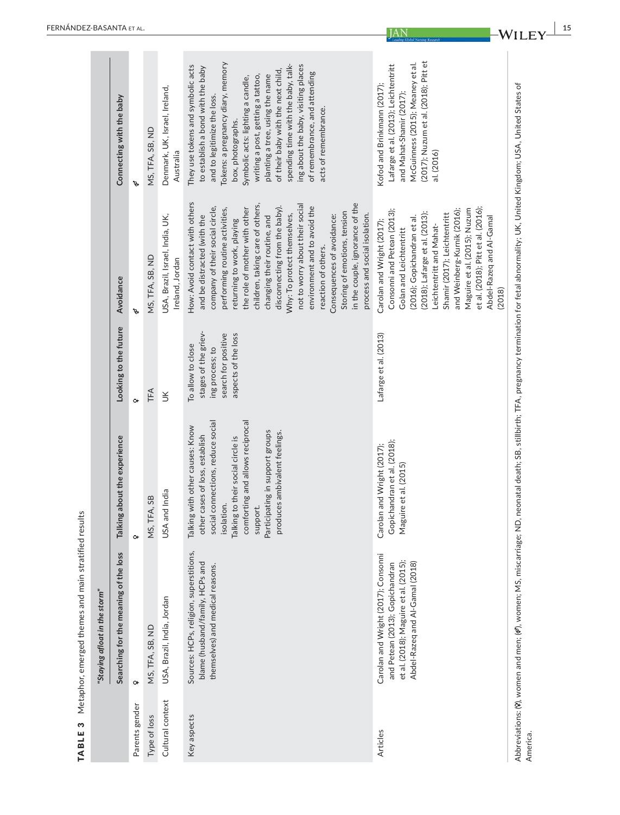|                  | "Staying afloat in the storm"                                                                                                                                                                   |                                                                                                                                                                                                                                                                               |                                                                                                            |                                                                                                                                                                                                                                                                                                                                                                                                                                                                                                                                                                  |                                                                                                                                                                                                                                                                                                                                                                                                                                                          |
|------------------|-------------------------------------------------------------------------------------------------------------------------------------------------------------------------------------------------|-------------------------------------------------------------------------------------------------------------------------------------------------------------------------------------------------------------------------------------------------------------------------------|------------------------------------------------------------------------------------------------------------|------------------------------------------------------------------------------------------------------------------------------------------------------------------------------------------------------------------------------------------------------------------------------------------------------------------------------------------------------------------------------------------------------------------------------------------------------------------------------------------------------------------------------------------------------------------|----------------------------------------------------------------------------------------------------------------------------------------------------------------------------------------------------------------------------------------------------------------------------------------------------------------------------------------------------------------------------------------------------------------------------------------------------------|
|                  | Searching for the meaning of the loss                                                                                                                                                           | Talking about the experience                                                                                                                                                                                                                                                  | Looking to the future                                                                                      | Avoidance                                                                                                                                                                                                                                                                                                                                                                                                                                                                                                                                                        | Connecting with the baby                                                                                                                                                                                                                                                                                                                                                                                                                                 |
| Parents gender   | $\mathsf{O}^+$                                                                                                                                                                                  | $\mathsf{O}^+$                                                                                                                                                                                                                                                                | $\sigma$                                                                                                   | Ó.                                                                                                                                                                                                                                                                                                                                                                                                                                                                                                                                                               | Ó,                                                                                                                                                                                                                                                                                                                                                                                                                                                       |
| Type of loss     | MS, TFA, SB, ND                                                                                                                                                                                 | TFA, SB<br>ΜS,                                                                                                                                                                                                                                                                | TFA                                                                                                        | MS, TFA, SB, ND                                                                                                                                                                                                                                                                                                                                                                                                                                                                                                                                                  | MS, TFA, SB, ND                                                                                                                                                                                                                                                                                                                                                                                                                                          |
| Cultural context | USA, Brazil, India, Jordan                                                                                                                                                                      | USA and India                                                                                                                                                                                                                                                                 | K                                                                                                          | USA, Brazil, Israel, India, UK,<br>Ireland, Jordan                                                                                                                                                                                                                                                                                                                                                                                                                                                                                                               | Denmark, UK, Israel, Ireland,<br>Australia                                                                                                                                                                                                                                                                                                                                                                                                               |
| Key aspects      | Sources: HCPs, religion, superstitions,<br>blame (husband/family, HCPs and<br>themselves) and medical reasons.                                                                                  | social connections, reduce social<br>comforting and allows reciprocal<br>Talking with other causes: Know<br>Participating in support groups<br>produces ambivalent feelings.<br>other cases of loss, establish<br>Talking to their social circle is<br>isolation.<br>support. | stages of the griev-<br>aspects of the loss<br>search for positive<br>To allow to close<br>ing process; to | How: Avoid contact with others<br>in the couple, ignorance of the<br>not to worry about their social<br>children, taking care of others,<br>disconnecting from the baby).<br>environment and to avoid the<br>company of their social circle,<br>the role of mother with other<br>performing routine activities,<br>Storing of emotions, tension<br>process and social isolation.<br>Why: To protect themselves,<br>changing their routine, and<br>and be distracted (with the<br>Consequences of avoidance:<br>returning to work, playing<br>reaction of others. | Tokens: a pregnancy diary, memory<br>spending time with the baby, talk-<br>ing about the baby, visiting places<br>They use tokens and symbolic acts<br>to establish a bond with the baby<br>of their baby with the next child,<br>of remembrance, and attending<br>writing a post, getting a tattoo,<br>planting a tree, using the name<br>Symbolic acts: lighting a candle,<br>and to legitimize the loss.<br>acts of remembrance.<br>box, photographs. |
| Articles         | Carolan and Wright (2017); Consonni<br>et al. (2018); Maguire et al. (2015);<br>Abdel-Razeq and Al-Gamal (2018)<br>and Petean (2013); Gopichandran                                              | Gopichandran et al. (2018);<br>Carolan and Wright (2017);<br>Maguire et al. (2015)                                                                                                                                                                                            | Lafarge et al. (2013)                                                                                      | et al. (2018); Pitt et al. (2016);<br>Maguire et al. (2015); Nuzum<br>Consonni and Petean (2013);<br>and Weinberg-Kurnik (2016);<br>(2018); Lafarge et al. (2013);<br>Shamir (2017); Leichtentritt<br>Abdel-Razeq and Al-Gamal<br>(2016); Gopichandran et al.<br>Carolan and Wright (2017);<br>Leichtentritt and Mahat-<br>Golan and Leichtentritt<br>(2018)                                                                                                                                                                                                     | (2017); Nuzum et al. (2018); Pitt et<br>McGuinness (2015); Meaney et al.<br>Lafarge et al. (2013); Leichtentritt<br>Kofod and Brinkmann (2017);<br>and Mahat-Shamir (2017);<br>al. (2016)                                                                                                                                                                                                                                                                |
| America          | Abbreviations: (9), women and men; (9), women; MS, miscarriage; ND, neonatal death; SB, stillbirth; TFA, pregnancy termination for fetal abnormality; UK, United Kingdom; USA, United States of |                                                                                                                                                                                                                                                                               |                                                                                                            |                                                                                                                                                                                                                                                                                                                                                                                                                                                                                                                                                                  |                                                                                                                                                                                                                                                                                                                                                                                                                                                          |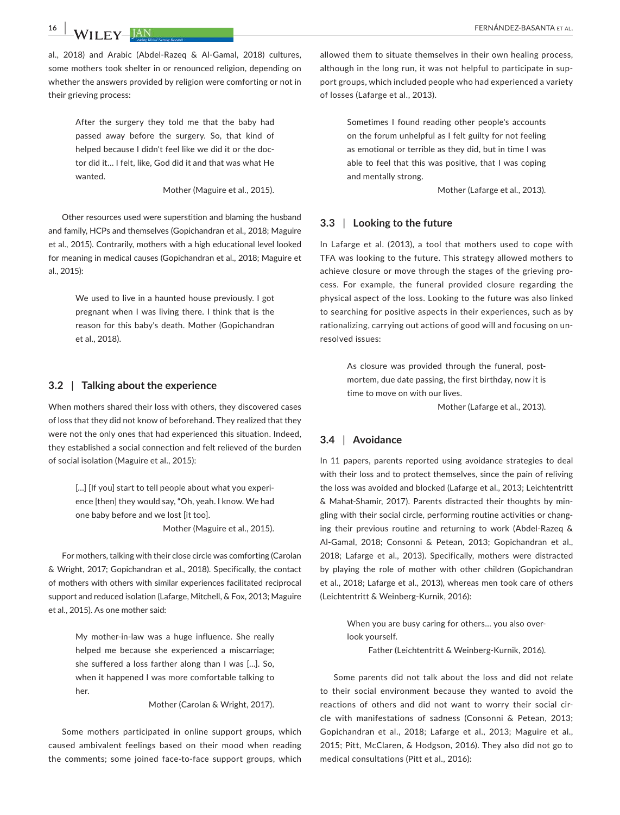al., 2018) and Arabic (Abdel-Razeq & Al-Gamal, 2018) cultures, some mothers took shelter in or renounced religion, depending on whether the answers provided by religion were comforting or not in their grieving process:

> After the surgery they told me that the baby had passed away before the surgery. So, that kind of helped because I didn't feel like we did it or the doc‐ tor did it… I felt, like, God did it and that was what He wanted.

> > Mother (Maguire et al., 2015).

Other resources used were superstition and blaming the husband and family, HCPs and themselves (Gopichandran et al., 2018; Maguire et al., 2015). Contrarily, mothers with a high educational level looked for meaning in medical causes (Gopichandran et al., 2018; Maguire et al., 2015):

> We used to live in a haunted house previously. I got pregnant when I was living there. I think that is the reason for this baby's death. Mother (Gopichandran et al., 2018).

## **3.2** | **Talking about the experience**

When mothers shared their loss with others, they discovered cases of loss that they did not know of beforehand. They realized that they were not the only ones that had experienced this situation. Indeed, they established a social connection and felt relieved of the burden of social isolation (Maguire et al., 2015):

> [...] [If you] start to tell people about what you experience [then] they would say, "Oh, yeah. I know. We had one baby before and we lost [it too].

Mother (Maguire et al., 2015).

For mothers, talking with their close circle was comforting (Carolan & Wright, 2017; Gopichandran et al., 2018). Specifically, the contact of mothers with others with similar experiences facilitated reciprocal support and reduced isolation (Lafarge, Mitchell, & Fox, 2013; Maguire et al., 2015). As one mother said:

> My mother‐in‐law was a huge influence. She really helped me because she experienced a miscarriage; she suffered a loss farther along than I was […]. So, when it happened I was more comfortable talking to her.

> > Mother (Carolan & Wright, 2017).

Some mothers participated in online support groups, which caused ambivalent feelings based on their mood when reading the comments; some joined face‐to‐face support groups, which

allowed them to situate themselves in their own healing process, although in the long run, it was not helpful to participate in sup‐ port groups, which included people who had experienced a variety of losses (Lafarge et al., 2013).

> Sometimes I found reading other people's accounts on the forum unhelpful as I felt guilty for not feeling as emotional or terrible as they did, but in time I was able to feel that this was positive, that I was coping and mentally strong.

> > Mother (Lafarge et al., 2013).

#### **3.3** | **Looking to the future**

In Lafarge et al. (2013), a tool that mothers used to cope with TFA was looking to the future. This strategy allowed mothers to achieve closure or move through the stages of the grieving pro‐ cess. For example, the funeral provided closure regarding the physical aspect of the loss. Looking to the future was also linked to searching for positive aspects in their experiences, such as by rationalizing, carrying out actions of good will and focusing on un‐ resolved issues:

> As closure was provided through the funeral, postmortem, due date passing, the first birthday, now it is time to move on with our lives.

> > Mother (Lafarge et al., 2013).

## **3.4** | **Avoidance**

In 11 papers, parents reported using avoidance strategies to deal with their loss and to protect themselves, since the pain of reliving the loss was avoided and blocked (Lafarge et al., 2013; Leichtentritt & Mahat‐Shamir, 2017). Parents distracted their thoughts by min‐ gling with their social circle, performing routine activities or chang‐ ing their previous routine and returning to work (Abdel‐Razeq & Al-Gamal, 2018; Consonni & Petean, 2013; Gopichandran et al., 2018; Lafarge et al., 2013). Specifically, mothers were distracted by playing the role of mother with other children (Gopichandran et al., 2018; Lafarge et al., 2013), whereas men took care of others (Leichtentritt & Weinberg‐Kurnik, 2016):

> When you are busy caring for others… you also over‐ look yourself.

Father (Leichtentritt & Weinberg‐Kurnik, 2016).

Some parents did not talk about the loss and did not relate to their social environment because they wanted to avoid the reactions of others and did not want to worry their social cir‐ cle with manifestations of sadness (Consonni & Petean, 2013; Gopichandran et al., 2018; Lafarge et al., 2013; Maguire et al., 2015; Pitt, McClaren, & Hodgson, 2016). They also did not go to medical consultations (Pitt et al., 2016):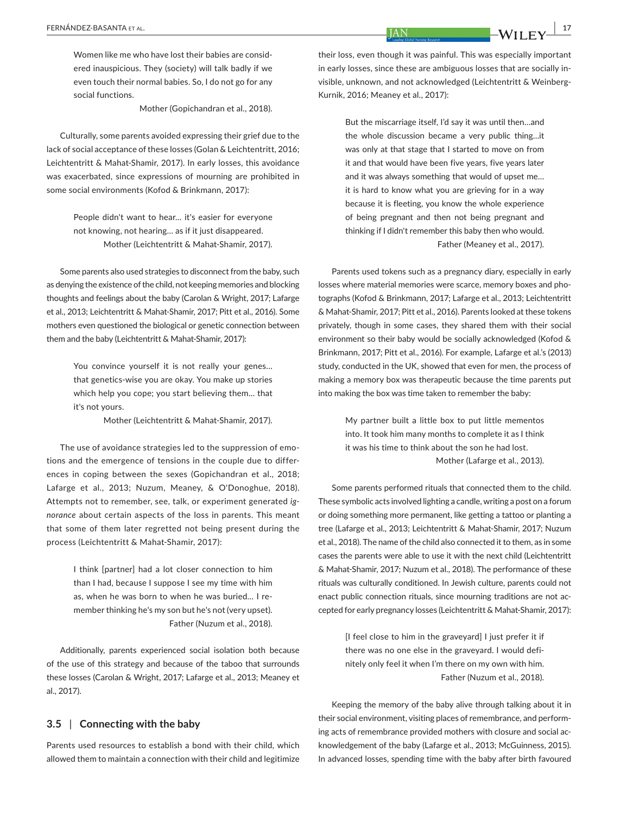Women like me who have lost their babies are consid‐ ered inauspicious. They (society) will talk badly if we even touch their normal babies. So, I do not go for any social functions.

Mother (Gopichandran et al., 2018).

Culturally, some parents avoided expressing their grief due to the lack of social acceptance of these losses (Golan & Leichtentritt, 2016; Leichtentritt & Mahat‐Shamir, 2017). In early losses, this avoidance was exacerbated, since expressions of mourning are prohibited in some social environments (Kofod & Brinkmann, 2017):

> People didn't want to hear… it's easier for everyone not knowing, not hearing… as if it just disappeared. Mother (Leichtentritt & Mahat‐Shamir, 2017).

Some parents also used strategies to disconnect from the baby, such as denying the existence of the child, not keeping memories and blocking thoughts and feelings about the baby (Carolan & Wright, 2017; Lafarge et al., 2013; Leichtentritt & Mahat‐Shamir, 2017; Pitt et al., 2016). Some mothers even questioned the biological or genetic connection between them and the baby (Leichtentritt & Mahat-Shamir, 2017):

> You convince yourself it is not really your genes… that genetics‐wise you are okay. You make up stories which help you cope; you start believing them… that it's not yours.

> > Mother (Leichtentritt & Mahat‐Shamir, 2017).

The use of avoidance strategies led to the suppression of emo‐ tions and the emergence of tensions in the couple due to differ‐ ences in coping between the sexes (Gopichandran et al., 2018; Lafarge et al., 2013; Nuzum, Meaney, & O'Donoghue, 2018). Attempts not to remember, see, talk, or experiment generated *ig‐ norance* about certain aspects of the loss in parents. This meant that some of them later regretted not being present during the process (Leichtentritt & Mahat‐Shamir, 2017):

> I think [partner] had a lot closer connection to him than I had, because I suppose I see my time with him as, when he was born to when he was buried… I re‐ member thinking he's my son but he's not (very upset). Father (Nuzum et al., 2018).

Additionally, parents experienced social isolation both because of the use of this strategy and because of the taboo that surrounds these losses (Carolan & Wright, 2017; Lafarge et al., 2013; Meaney et al., 2017).

#### **3.5** | **Connecting with the baby**

Parents used resources to establish a bond with their child, which allowed them to maintain a connection with their child and legitimize their loss, even though it was painful. This was especially important in early losses, since these are ambiguous losses that are socially in‐ visible, unknown, and not acknowledged (Leichtentritt & Weinberg‐ Kurnik, 2016; Meaney et al., 2017):

> But the miscarriage itself, I'd say it was until then…and the whole discussion became a very public thing…it was only at that stage that I started to move on from it and that would have been five years, five years later and it was always something that would of upset me… it is hard to know what you are grieving for in a way because it is fleeting, you know the whole experience of being pregnant and then not being pregnant and thinking if I didn't remember this baby then who would. Father (Meaney et al., 2017).

Parents used tokens such as a pregnancy diary, especially in early losses where material memories were scarce, memory boxes and pho‐ tographs (Kofod & Brinkmann, 2017; Lafarge et al., 2013; Leichtentritt & Mahat‐Shamir, 2017; Pitt et al., 2016). Parents looked at these tokens privately, though in some cases, they shared them with their social environment so their baby would be socially acknowledged (Kofod & Brinkmann, 2017; Pitt et al., 2016). For example, Lafarge et al.'s (2013) study, conducted in the UK, showed that even for men, the process of making a memory box was therapeutic because the time parents put into making the box was time taken to remember the baby:

> My partner built a little box to put little mementos into. It took him many months to complete it as I think it was his time to think about the son he had lost. Mother (Lafarge et al., 2013).

Some parents performed rituals that connected them to the child. These symbolic acts involved lighting a candle, writing a post on a forum or doing something more permanent, like getting a tattoo or planting a tree (Lafarge et al., 2013; Leichtentritt & Mahat‐Shamir, 2017; Nuzum et al., 2018). The name of the child also connected it to them, as in some cases the parents were able to use it with the next child (Leichtentritt & Mahat-Shamir, 2017; Nuzum et al., 2018). The performance of these rituals was culturally conditioned. In Jewish culture, parents could not enact public connection rituals, since mourning traditions are not accepted for early pregnancy losses (Leichtentritt & Mahat‐Shamir, 2017):

> [I feel close to him in the graveyard] I just prefer it if there was no one else in the graveyard. I would defi‐ nitely only feel it when I'm there on my own with him. Father (Nuzum et al., 2018).

Keeping the memory of the baby alive through talking about it in their social environment, visiting places of remembrance, and perform‐ ing acts of remembrance provided mothers with closure and social acknowledgement of the baby (Lafarge et al., 2013; McGuinness, 2015). In advanced losses, spending time with the baby after birth favoured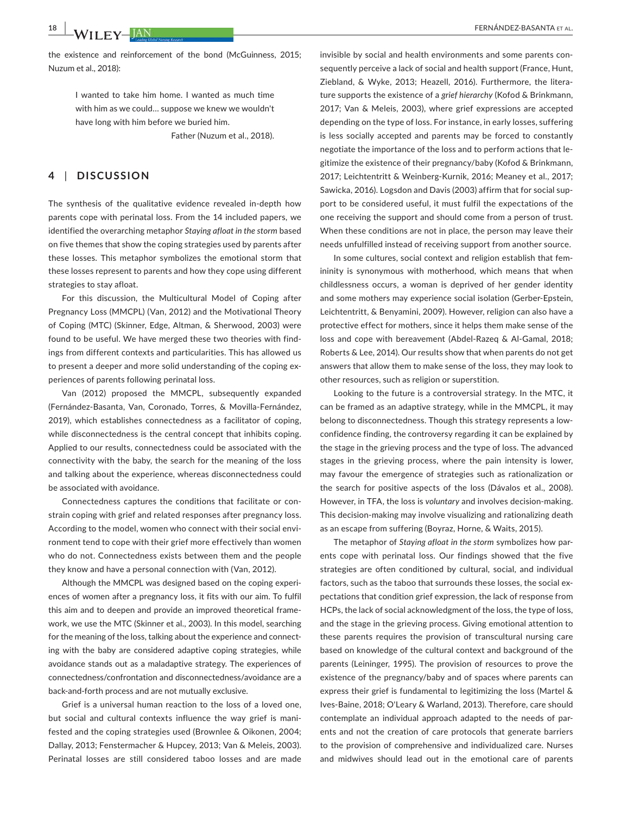the existence and reinforcement of the bond (McGuinness, 2015; Nuzum et al., 2018):

> I wanted to take him home. I wanted as much time with him as we could… suppose we knew we wouldn't have long with him before we buried him.

> > Father (Nuzum et al., 2018).

## **4** | **DISCUSSION**

The synthesis of the qualitative evidence revealed in‐depth how parents cope with perinatal loss. From the 14 included papers, we identified the overarching metaphor *Staying afloat in the storm* based on five themes that show the coping strategies used by parents after these losses. This metaphor symbolizes the emotional storm that these losses represent to parents and how they cope using different strategies to stay afloat.

For this discussion, the Multicultural Model of Coping after Pregnancy Loss (MMCPL) (Van, 2012) and the Motivational Theory of Coping (MTC) (Skinner, Edge, Altman, & Sherwood, 2003) were found to be useful. We have merged these two theories with find‐ ings from different contexts and particularities. This has allowed us to present a deeper and more solid understanding of the coping ex‐ periences of parents following perinatal loss.

Van (2012) proposed the MMCPL, subsequently expanded (Fernández‐Basanta, Van, Coronado, Torres, & Movilla‐Fernández, 2019), which establishes connectedness as a facilitator of coping, while disconnectedness is the central concept that inhibits coping. Applied to our results, connectedness could be associated with the connectivity with the baby, the search for the meaning of the loss and talking about the experience, whereas disconnectedness could be associated with avoidance.

Connectedness captures the conditions that facilitate or con‐ strain coping with grief and related responses after pregnancy loss. According to the model, women who connect with their social envi‐ ronment tend to cope with their grief more effectively than women who do not. Connectedness exists between them and the people they know and have a personal connection with (Van, 2012).

Although the MMCPL was designed based on the coping experi‐ ences of women after a pregnancy loss, it fits with our aim. To fulfil this aim and to deepen and provide an improved theoretical frame‐ work, we use the MTC (Skinner et al., 2003). In this model, searching for the meaning of the loss, talking about the experience and connecting with the baby are considered adaptive coping strategies, while avoidance stands out as a maladaptive strategy. The experiences of connectedness/confrontation and disconnectedness/avoidance are a back‐and‐forth process and are not mutually exclusive.

Grief is a universal human reaction to the loss of a loved one, but social and cultural contexts influence the way grief is mani‐ fested and the coping strategies used (Brownlee & Oikonen, 2004; Dallay, 2013; Fenstermacher & Hupcey, 2013; Van & Meleis, 2003). Perinatal losses are still considered taboo losses and are made

invisible by social and health environments and some parents con‐ sequently perceive a lack of social and health support (France, Hunt, Ziebland, & Wyke, 2013; Heazell, 2016). Furthermore, the litera‐ ture supports the existence of a *grief hierarchy* (Kofod & Brinkmann, 2017; Van & Meleis, 2003), where grief expressions are accepted depending on the type of loss. For instance, in early losses, suffering is less socially accepted and parents may be forced to constantly negotiate the importance of the loss and to perform actions that le‐ gitimize the existence of their pregnancy/baby (Kofod & Brinkmann, 2017; Leichtentritt & Weinberg‐Kurnik, 2016; Meaney et al., 2017; Sawicka, 2016). Logsdon and Davis (2003) affirm that for social sup‐ port to be considered useful, it must fulfil the expectations of the one receiving the support and should come from a person of trust. When these conditions are not in place, the person may leave their needs unfulfilled instead of receiving support from another source.

In some cultures, social context and religion establish that fem‐ ininity is synonymous with motherhood, which means that when childlessness occurs, a woman is deprived of her gender identity and some mothers may experience social isolation (Gerber‐Epstein, Leichtentritt, & Benyamini, 2009). However, religion can also have a protective effect for mothers, since it helps them make sense of the loss and cope with bereavement (Abdel-Razeq & Al-Gamal, 2018; Roberts & Lee, 2014). Our results show that when parents do not get answers that allow them to make sense of the loss, they may look to other resources, such as religion or superstition.

Looking to the future is a controversial strategy. In the MTC, it can be framed as an adaptive strategy, while in the MMCPL, it may belong to disconnectedness. Though this strategy represents a low‐ confidence finding, the controversy regarding it can be explained by the stage in the grieving process and the type of loss. The advanced stages in the grieving process, where the pain intensity is lower, may favour the emergence of strategies such as rationalization or the search for positive aspects of the loss (Dávalos et al., 2008). However, in TFA, the loss is *voluntary* and involves decision‐making. This decision‐making may involve visualizing and rationalizing death as an escape from suffering (Boyraz, Horne, & Waits, 2015).

The metaphor of *Staying afloat in the storm* symbolizes how par‐ ents cope with perinatal loss. Our findings showed that the five strategies are often conditioned by cultural, social, and individual factors, such as the taboo that surrounds these losses, the social ex‐ pectations that condition grief expression, the lack of response from HCPs, the lack of social acknowledgment of the loss, the type of loss, and the stage in the grieving process. Giving emotional attention to these parents requires the provision of transcultural nursing care based on knowledge of the cultural context and background of the parents (Leininger, 1995). The provision of resources to prove the existence of the pregnancy/baby and of spaces where parents can express their grief is fundamental to legitimizing the loss (Martel & Ives-Baine, 2018; O'Leary & Warland, 2013). Therefore, care should contemplate an individual approach adapted to the needs of par‐ ents and not the creation of care protocols that generate barriers to the provision of comprehensive and individualized care. Nurses and midwives should lead out in the emotional care of parents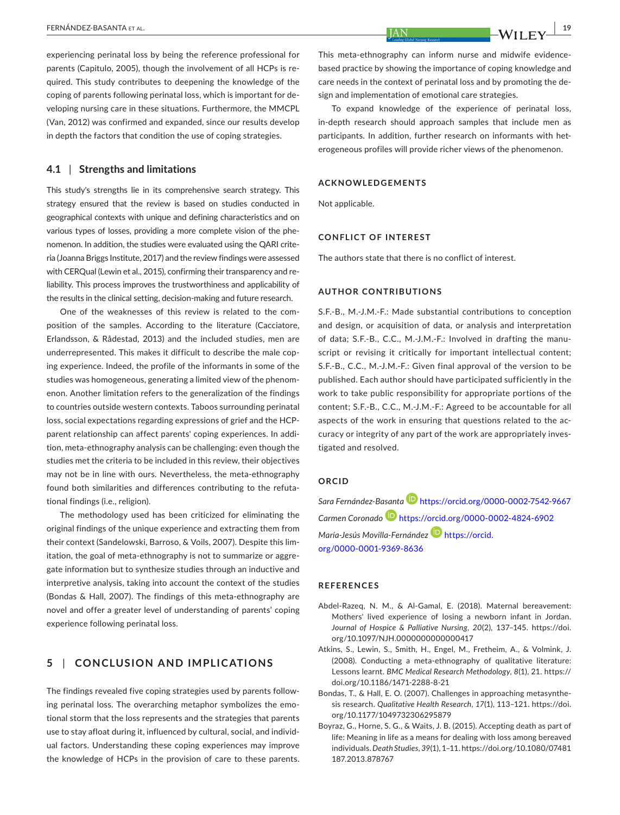experiencing perinatal loss by being the reference professional for parents (Capitulo, 2005), though the involvement of all HCPs is re‐ quired. This study contributes to deepening the knowledge of the coping of parents following perinatal loss, which is important for de‐ veloping nursing care in these situations. Furthermore, the MMCPL (Van, 2012) was confirmed and expanded, since our results develop in depth the factors that condition the use of coping strategies.

#### **4.1** | **Strengths and limitations**

This study's strengths lie in its comprehensive search strategy. This strategy ensured that the review is based on studies conducted in geographical contexts with unique and defining characteristics and on various types of losses, providing a more complete vision of the phe‐ nomenon. In addition, the studies were evaluated using the QARI crite‐ ria (Joanna Briggs Institute, 2017) and the review findings were assessed with CERQual (Lewin et al., 2015), confirming their transparency and re‐ liability. This process improves the trustworthiness and applicability of the results in the clinical setting, decision‐making and future research.

One of the weaknesses of this review is related to the com‐ position of the samples. According to the literature (Cacciatore, Erlandsson, & Rådestad, 2013) and the included studies, men are underrepresented. This makes it difficult to describe the male coping experience. Indeed, the profile of the informants in some of the studies was homogeneous, generating a limited view of the phenom‐ enon. Another limitation refers to the generalization of the findings to countries outside western contexts. Taboos surrounding perinatal loss, social expectations regarding expressions of grief and the HCP‐ parent relationship can affect parents' coping experiences. In addi‐ tion, meta‐ethnography analysis can be challenging: even though the studies met the criteria to be included in this review, their objectives may not be in line with ours. Nevertheless, the meta‐ethnography found both similarities and differences contributing to the refuta‐ tional findings (i.e., religion).

The methodology used has been criticized for eliminating the original findings of the unique experience and extracting them from their context (Sandelowski, Barroso, & Voils, 2007). Despite this lim‐ itation, the goal of meta-ethnography is not to summarize or aggregate information but to synthesize studies through an inductive and interpretive analysis, taking into account the context of the studies (Bondas & Hall, 2007). The findings of this meta‐ethnography are novel and offer a greater level of understanding of parents' coping experience following perinatal loss.

# **5** | **CONCLUSION AND IMPLICATIONS**

The findings revealed five coping strategies used by parents follow‐ ing perinatal loss. The overarching metaphor symbolizes the emo‐ tional storm that the loss represents and the strategies that parents use to stay afloat during it, influenced by cultural, social, and individ‐ ual factors. Understanding these coping experiences may improve the knowledge of HCPs in the provision of care to these parents.

This meta‐ethnography can inform nurse and midwife evidence‐ based practice by showing the importance of coping knowledge and care needs in the context of perinatal loss and by promoting the de‐ sign and implementation of emotional care strategies.

To expand knowledge of the experience of perinatal loss, in-depth research should approach samples that include men as participants. In addition, further research on informants with heterogeneous profiles will provide richer views of the phenomenon.

## **ACKNOWLEDGEMENTS**

Not applicable.

## **CONFLICT OF INTEREST**

The authors state that there is no conflict of interest.

## **AUTHOR CONTRIBUTIONS**

S.F.‐B., M.‐J.M.‐F.: Made substantial contributions to conception and design, or acquisition of data, or analysis and interpretation of data; S.F.‐B., C.C., M.‐J.M.‐F.: Involved in drafting the manu‐ script or revising it critically for important intellectual content; S.F.‐B., C.C., M.‐J.M.‐F.: Given final approval of the version to be published. Each author should have participated sufficiently in the work to take public responsibility for appropriate portions of the content; S.F.‐B., C.C., M.‐J.M.‐F.: Agreed to be accountable for all aspects of the work in ensuring that questions related to the accuracy or integrity of any part of the work are appropriately inves‐ tigated and resolved.

#### **ORCID**

*Sara Fernández‐Basant[a](https://orcid.org/0000-0002-7542-9667)* [https://orcid.org/0000‐0002‐7542‐9667](https://orcid.org/0000-0002-7542-9667) *Carmen Coronado* [https://orcid.org/0000‐0002‐4824‐6902](https://orcid.org/0000-0002-4824-6902) *María‐Jesús Movilla‐Fernández* [https://orcid.](https://orcid.org/0000-0001-9369-8636) [org/0000‐0001‐9369‐8636](https://orcid.org/0000-0001-9369-8636)

#### **REFERENCES**

- Abdel-Razeq, N. M., & Al-Gamal, E. (2018). Maternal bereavement: Mothers' lived experience of losing a newborn infant in Jordan. Journal of Hospice & Palliative Nursing, 20(2), 137-145. https://doi. org/10.1097/NJH.00000000000000417
- Atkins, S., Lewin, S., Smith, H., Engel, M., Fretheim, A., & Volmink, J. (2008). Conducting a meta-ethnography of qualitative literature: Lessons learnt. *BMC Medical Research Methodology*, *8*(1), 21. [https ://](https://doi.org/10.1186/1471-2288-8-21) [doi.org/10.1186/1471‐2288‐8‐21](https://doi.org/10.1186/1471-2288-8-21)
- Bondas, T., & Hall, E. O. (2007). Challenges in approaching metasynthe‐ sis research. *Qualitative Health Research*, *17*(1), 113–121. [https ://doi.](https://doi.org/10.1177/1049732306295879) org/10.1177/1049732306295879
- Boyraz, G., Horne, S. G., & Waits, J. B. (2015). Accepting death as part of life: Meaning in life as a means for dealing with loss among bereaved individuals. *Death Studies*, 39(1), 1-11. https://doi.org/10.1080/07481 [187.2013.878767](https://doi.org/10.1080/07481187.2013.878767)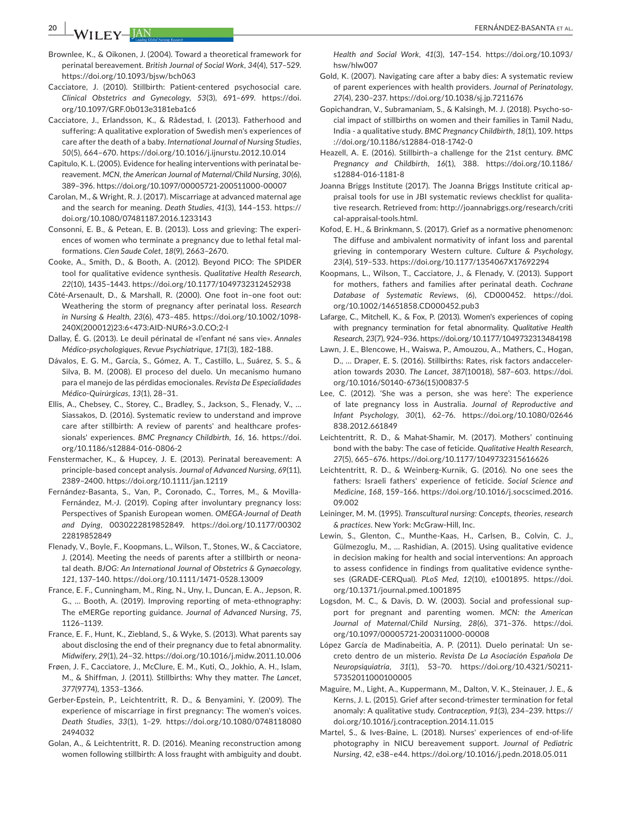**20 <sup>|</sup>**  FERNÁNDEZ‐BASANTA ET Al.

- Brownlee, K., & Oikonen, J. (2004). Toward a theoretical framework for perinatal bereavement. *British Journal of Social Work*, *34*(4), 517–529. https://doi.org/10.1093/bisw/bch063
- Cacciatore, J. (2010). Stillbirth: Patient‐centered psychosocial care. *Clinical Obstetrics and Gynecology*, *53*(3), 691–699. [https ://doi.](https://doi.org/10.1097/GRF.0b013e3181eba1c6) org/10.1097/GRF.0b013e3181eba1c6

Cacciatore, J., Erlandsson, K., & Rådestad, I. (2013). Fatherhood and suffering: A qualitative exploration of Swedish men's experiences of care after the death of a baby. *International Journal of Nursing Studies*, *50*(5), 664–670. [https ://doi.org/10.1016/j.ijnur stu.2012.10.014](https://doi.org/10.1016/j.ijnurstu.2012.10.014)

Capitulo, K. L. (2005). Evidence for healing interventions with perinatal be‐ reavement. *MCN, the American Journal of Maternal/Child Nursing*, *30*(6), 389-396. https://doi.org/10.1097/00005721-200511000-00007

Carolan, M., & Wright, R. J. (2017). Miscarriage at advanced maternal age and the search for meaning. *Death Studies*, *41*(3), 144–153. [https ://](https://doi.org/10.1080/07481187.2016.1233143) doi.org/10.1080/07481187.2016.1233143

Consonni, E. B., & Petean, E. B. (2013). Loss and grieving: The experi‐ ences of women who terminate a pregnancy due to lethal fetal mal‐ formations. *Cien Saude Colet*, *18*(9), 2663–2670.

Cooke, A., Smith, D., & Booth, A. (2012). Beyond PICO: The SPIDER tool for qualitative evidence synthesis. *Qualitative Health Research*, 22(10), 1435-1443. https://doi.org/10.1177/1049732312452938

Côté‐Arsenault, D., & Marshall, R. (2000). One foot in–one foot out: Weathering the storm of pregnancy after perinatal loss. *Research in Nursing & Health, 23(6), 473-485. https://doi.org/10.1002/1098-*[240X\(20001 2\)23:6<473:AID‐NUR6>3.0.CO;2‐I](https://doi.org/10.1002/1098-240X(200012)23:6%3C473:AID-NUR6%3E3.0.CO;2-I)

Dallay, É. G. (2013). Le deuil périnatal de «l'enfant né sans vie». *Annales Médico‐psychologiques, Revue Psychiatrique*, *171*(3), 182–188.

Dávalos, E. G. M., García, S., Gómez, A. T., Castillo, L., Suárez, S. S., & Silva, B. M. (2008). El proceso del duelo. Un mecanismo humano para el manejo de las pérdidas emocionales. *Revista De Especialidades Médico‐Quirúrgicas*, *13*(1), 28–31.

Ellis, A., Chebsey, C., Storey, C., Bradley, S., Jackson, S., Flenady, V., … Siassakos, D. (2016). Systematic review to understand and improve care after stillbirth: A review of parents' and healthcare profes‐ sionals' experiences. *BMC Pregnancy Childbirth*, *16*, 16. [https ://doi.](https://doi.org/10.1186/s12884-016-0806-2) [org/10.1186/s12884‐016‐0806‐2](https://doi.org/10.1186/s12884-016-0806-2)

Fenstermacher, K., & Hupcey, J. E. (2013). Perinatal bereavement: A principle‐based concept analysis. *Journal of Advanced Nursing*, *69*(11), 2389-2400. https://doi.org/10.1111/jan.12119

Fernández‐Basanta, S., Van, P., Coronado, C., Torres, M., & Movilla‐ Fernández, M.‐J. (2019). Coping after involuntary pregnancy loss: Perspectives of Spanish European women. *OMEGA‐Journal of Death*  and Dying, 0030222819852849. https://doi.org/10.1177/00302 22819852849

Flenady, V., Boyle, F., Koopmans, L., Wilson, T., Stones, W., & Cacciatore, J. (2014). Meeting the needs of parents after a stillbirth or neona‐ tal death. *BJOG: An International Journal of Obstetrics & Gynaecology*, *121*, 137–140. [https ://doi.org/10.1111/1471‐0528.13009](https://doi.org/10.1111/1471-0528.13009) 

France, E. F., Cunningham, M., Ring, N., Uny, I., Duncan, E. A., Jepson, R. G., … Booth, A. (2019). Improving reporting of meta‐ethnography: The eMERGe reporting guidance. *Journal of Advanced Nursing*, *75*, 1126–1139.

France, E. F., Hunt, K., Ziebland, S., & Wyke, S. (2013). What parents say about disclosing the end of their pregnancy due to fetal abnormality. *Midwifery*, *29*(1), 24–32. [https ://doi.org/10.1016/j.midw.2011.10.006](https://doi.org/10.1016/j.midw.2011.10.006)

Frøen, J. F., Cacciatore, J., McClure, E. M., Kuti, O., Jokhio, A. H., Islam, M., & Shiffman, J. (2011). Stillbirths: Why they matter. *The Lancet*, *377*(9774), 1353–1366.

Gerber‐Epstein, P., Leichtentritt, R. D., & Benyamini, Y. (2009). The experience of miscarriage in first pregnancy: The women's voices. Death Studies, 33(1), 1-29. https://doi.org/10.1080/0748118080 [2494032](https://doi.org/10.1080/07481180802494032)

Golan, A., & Leichtentritt, R. D. (2016). Meaning reconstruction among women following stillbirth: A loss fraught with ambiguity and doubt.

*Health and Social Work*, *41*(3), 147–154. [https ://doi.org/10.1093/](https://doi.org/10.1093/hsw/hlw007) [hsw/hlw007](https://doi.org/10.1093/hsw/hlw007)

- Gold, K. (2007). Navigating care after a baby dies: A systematic review of parent experiences with health providers. *Journal of Perinatology*, 27(4), 230-237. https://doi.org/10.1038/sj.jp.7211676
- Gopichandran, V., Subramaniam, S., & Kalsingh, M. J. (2018). Psycho-social impact of stillbirths on women and their families in Tamil Nadu, India ‐ a qualitative study. *BMC Pregnancy Childbirth*, *18*(1), 109. [https](https://doi.org/10.1186/s12884-018-1742-0) [://doi.org/10.1186/s12884‐018‐1742‐0](https://doi.org/10.1186/s12884-018-1742-0)

Heazell, A. E. (2016). Stillbirth–a challenge for the 21st century. *BMC Pregnancy and Childbirth, 16(1), 388. https://doi.org/10.1186/* [s12884‐016‐1181‐8](https://doi.org/10.1186/s12884-016-1181-8)

Joanna Briggs Institute (2017). The Joanna Briggs Institute critical ap‐ praisal tools for use in JBI systematic reviews checklist for qualita‐ tive research. Retrieved from: http://joannabriggs.org/research/criti cal-appraisal-tools.html.

Kofod, E. H., & Brinkmann, S. (2017). Grief as a normative phenomenon: The diffuse and ambivalent normativity of infant loss and parental grieving in contemporary Western culture. *Culture & Psychology*, 23(4), 519-533. https://doi.org/10.1177/1354067X17692294

Koopmans, L., Wilson, T., Cacciatore, J., & Flenady, V. (2013). Support for mothers, fathers and families after perinatal death. *Cochrane*  Database of Systematic Reviews, (6), CD000452. https://doi. org/10.1002/14651858.CD000452.pub3

Lafarge, C., Mitchell, K., & Fox, P. (2013). Women's experiences of coping with pregnancy termination for fetal abnormality. *Qualitative Health*  Research, 23(7), 924-936. https://doi.org/10.1177/1049732313484198

Lawn, J. E., Blencowe, H., Waiswa, P., Amouzou, A., Mathers, C., Hogan, D., … Draper, E. S. (2016). Stillbirths: Rates, risk factors andacceler‐ ation towards 2030. *The Lancet*, 387(10018), 587-603. https://doi. [org/10.1016/S0140‐6736\(15\)00837‐5](https://doi.org/10.1016/S0140-6736(15)00837-5)

Lee, C. (2012). 'She was a person, she was here': The experience of late pregnancy loss in Australia. *Journal of Reproductive and Infant Psychology, 30(1), 62-76. https://doi.org/10.1080/02646* [838.2012.661849](https://doi.org/10.1080/02646838.2012.661849)

Leichtentritt, R. D., & Mahat‐Shamir, M. (2017). Mothers' continuing bond with the baby: The case of feticide. *Qualitative Health Research*, *27*(5), 665–676. [https ://doi.org/10.1177/10497 32315 616626](https://doi.org/10.1177/1049732315616626)

Leichtentritt, R. D., & Weinberg‐Kurnik, G. (2016). No one sees the fathers: Israeli fathers' experience of feticide. *Social Science and Medicine*, 168, 159-166. https://doi.org/10.1016/j.socscimed.2016. [09.002](https://doi.org/10.1016/j.socscimed.2016.09.002)

Leininger, M. M. (1995). *Transcultural nursing: Concepts, theories, research & practices*. New York: McGraw‐Hill, Inc.

Lewin, S., Glenton, C., Munthe‐Kaas, H., Carlsen, B., Colvin, C. J., Gülmezoglu, M., … Rashidian, A. (2015). Using qualitative evidence in decision making for health and social interventions: An approach to assess confidence in findings from qualitative evidence synthe‐ ses (GRADE-CERQual). *PLoS Med*, 12(10), e1001895. https://doi. org/10.1371/journal.pmed.1001895

Logsdon, M. C., & Davis, D. W. (2003). Social and professional sup‐ port for pregnant and parenting women. *MCN: the American*  Journal of Maternal/Child Nursing, 28(6), 371-376. https://doi. org/10.1097/00005721-200311000-00008

López García de Madinabeitia, A. P. (2011). Duelo perinatal: Un se‐ creto dentro de un misterio. *Revista De La Asociación Española De Neuropsiquiatría*, *31*(1), 53–70. [https ://doi.org/10.4321/S0211‐](https://doi.org/10.4321/S0211-57352011000100005) [57352 01100 0100005](https://doi.org/10.4321/S0211-57352011000100005)

Maguire, M., Light, A., Kuppermann, M., Dalton, V. K., Steinauer, J. E., & Kerns, J. L. (2015). Grief after second‐trimester termination for fetal anomaly: A qualitative study. *Contraception*, *91*(3), 234–239. [https ://](https://doi.org/10.1016/j.contraception.2014.11.015) doi.org/10.1016/j.contraception.2014.11.015

Martel, S., & Ives-Baine, L. (2018). Nurses' experiences of end-of-life photography in NICU bereavement support. *Journal of Pediatric Nursing*, *42*, e38–e44. [https ://doi.org/10.1016/j.pedn.2018.05.011](https://doi.org/10.1016/j.pedn.2018.05.011)